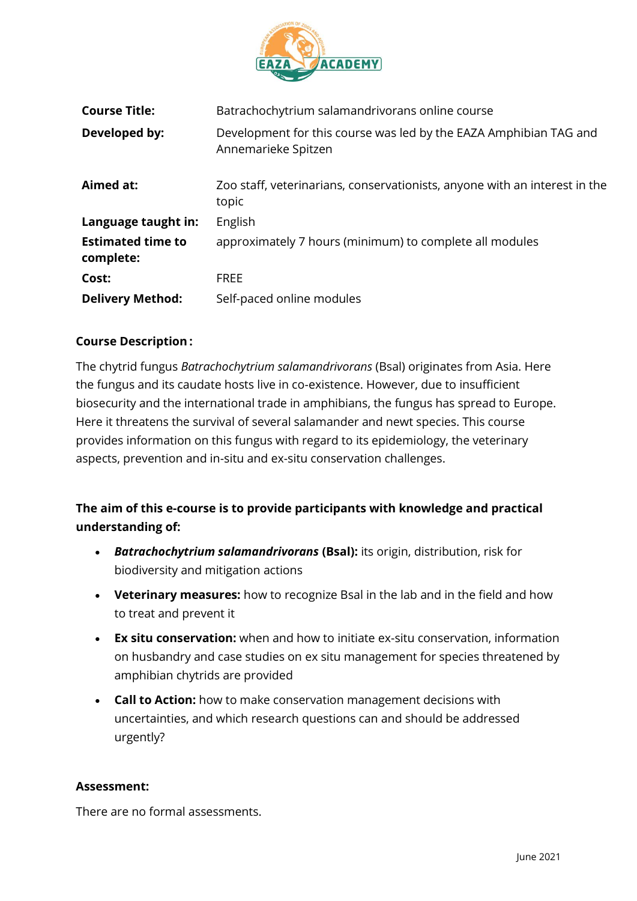

| <b>Course Title:</b>                  | Batrachochytrium salamandrivorans online course                                          |
|---------------------------------------|------------------------------------------------------------------------------------------|
| Developed by:                         | Development for this course was led by the EAZA Amphibian TAG and<br>Annemarieke Spitzen |
| Aimed at:                             | Zoo staff, veterinarians, conservationists, anyone with an interest in the<br>topic      |
| Language taught in:                   | English                                                                                  |
| <b>Estimated time to</b><br>complete: | approximately 7 hours (minimum) to complete all modules                                  |
| Cost:                                 | <b>FREE</b>                                                                              |
| <b>Delivery Method:</b>               | Self-paced online modules                                                                |

## **Course Description :**

The chytrid fungus *Batrachochytrium salamandrivorans* (Bsal) originates from Asia. Here the fungus and its caudate hosts live in co-existence. However, due to insufficient biosecurity and the international trade in amphibians, the fungus has spread to Europe. Here it threatens the survival of several salamander and newt species. This course provides information on this fungus with regard to its epidemiology, the veterinary aspects, prevention and in-situ and ex-situ conservation challenges.

**The aim of this e-course is to provide participants with knowledge and practical understanding of:**

- *Batrachochytrium salamandrivorans* **(Bsal):** its origin, distribution, risk for biodiversity and mitigation actions
- **Veterinary measures:** how to recognize Bsal in the lab and in the field and how to treat and prevent it
- **Ex situ conservation:** when and how to initiate ex-situ conservation, information on husbandry and case studies on ex situ management for species threatened by amphibian chytrids are provided
- **Call to Action:** how to make conservation management decisions with uncertainties, and which research questions can and should be addressed urgently?

## **Assessment:**

There are no formal assessments.